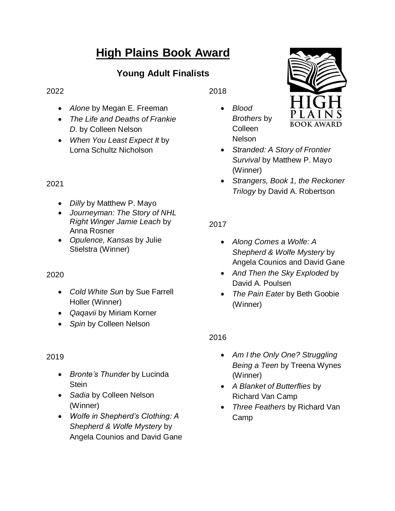# **High Plains Book Award**

# **Young Adult Finalists**

#### 2022

- *Alone* by Megan E. Freeman
- *The Life and Deaths of Frankie D.* by Colleen Nelson
- *When You Least Expect It* by Lorna Schultz Nicholson

#### 2021

- *Dilly* by Matthew P. Mayo
- *Journeyman: The Story of NHL Right Winger Jamie Leach* by Anna Rosner
- *Opulence, Kansas* by Julie Stielstra (Winner)

# 2020

- *Cold White Sun* by Sue Farrell Holler (Winner)
- *Qaqavii* by Miriam Korner
- *Spin* by Colleen Nelson

#### 2019

- *Bronte's Thunder* by Lucinda **Stein**
- *Sadia* by Colleen Nelson (Winner)
- *Wolfe in Shepherd's Clothing: A Shepherd & Wolfe Mystery* by Angela Counios and David Gane

2018

 *Blood Brothers* by Colleen Nelson



- *Stranded: A Story of Frontier Survival* by Matthew P. Mayo (Winner)
- *Strangers, Book 1, the Reckoner Trilogy* by David A. Robertson

# 2017

- *Along Comes a Wolfe: A Shepherd & Wolfe Mystery* by Angela Counios and David Gane
- *And Then the Sky Exploded* by David A. Poulsen
- *The Pain Eater* by Beth Goobie (Winner)

#### 2016

- *Am I the Only One? Struggling Being a Teen* by Treena Wynes (Winner)
- *A Blanket of Butterflies* by Richard Van Camp
- *Three Feathers* by Richard Van Camp